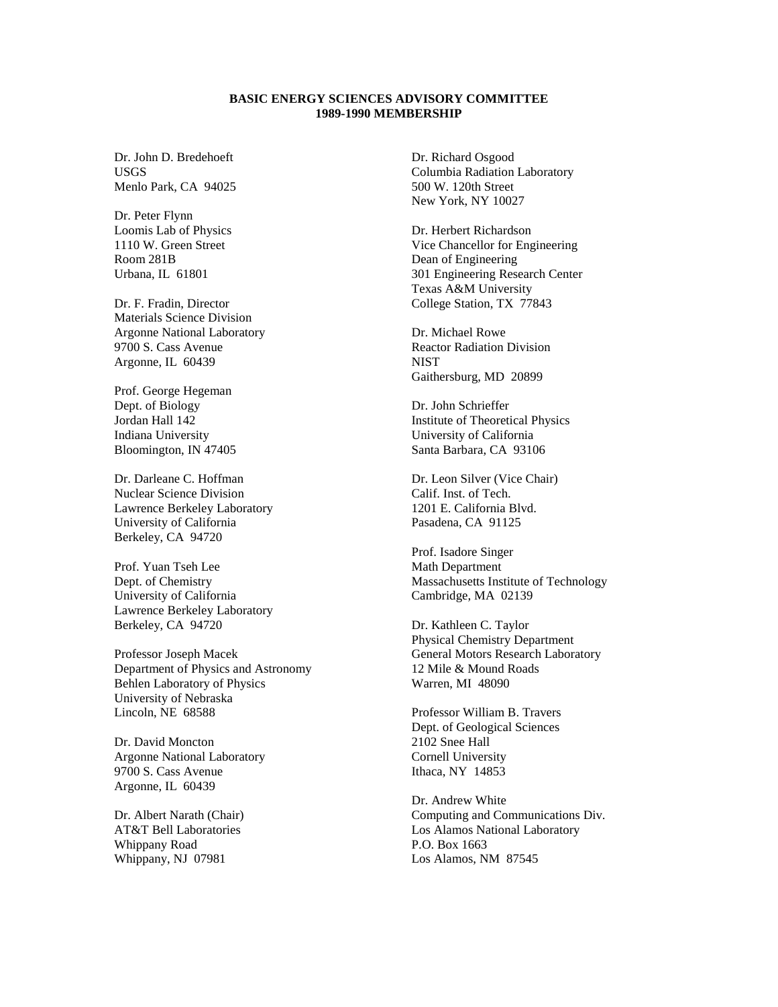## **BASIC ENERGY SCIENCES ADVISORY COMMITTEE 1989-1990 MEMBERSHIP**

Dr. John D. Bredehoeft USGS Menlo Park, CA 94025

Dr. Peter Flynn Loomis Lab of Physics 1110 W. Green Street Room 281B Urbana, IL 61801

Dr. F. Fradin, Director Materials Science Division Argonne National Laboratory 9700 S. Cass Avenue Argonne, IL 60439

Prof. George Hegeman Dept. of Biology Jordan Hall 142 Indiana University Bloomington, IN 47405

Dr. Darleane C. Hoffman Nuclear Science Division Lawrence Berkeley Laboratory University of California Berkeley, CA 94720

Prof. Yuan Tseh Lee Dept. of Chemistry University of California Lawrence Berkeley Laboratory Berkeley, CA 94720

Professor Joseph Macek Department of Physics and Astronomy Behlen Laboratory of Physics University of Nebraska Lincoln, NE 68588

Dr. David Moncton Argonne National Laboratory 9700 S. Cass Avenue Argonne, IL 60439

Dr. Albert Narath (Chair) AT&T Bell Laboratories Whippany Road Whippany, NJ 07981

Dr. Richard Osgood Columbia Radiation Laboratory 500 W. 120th Street New York, NY 10027

Dr. Herbert Richardson Vice Chancellor for Engineering Dean of Engineering 301 Engineering Research Center Texas A&M University College Station, TX 77843

Dr. Michael Rowe Reactor Radiation Division **NIST** Gaithersburg, MD 20899

Dr. John Schrieffer Institute of Theoretical Physics University of California Santa Barbara, CA 93106

Dr. Leon Silver (Vice Chair) Calif. Inst. of Tech. 1201 E. California Blvd. Pasadena, CA 91125

Prof. Isadore Singer Math Department Massachusetts Institute of Technology Cambridge, MA 02139

Dr. Kathleen C. Taylor Physical Chemistry Department General Motors Research Laboratory 12 Mile & Mound Roads Warren, MI 48090

Professor William B. Travers Dept. of Geological Sciences 2102 Snee Hall Cornell University Ithaca, NY 14853

Dr. Andrew White Computing and Communications Div. Los Alamos National Laboratory P.O. Box 1663 Los Alamos, NM 87545